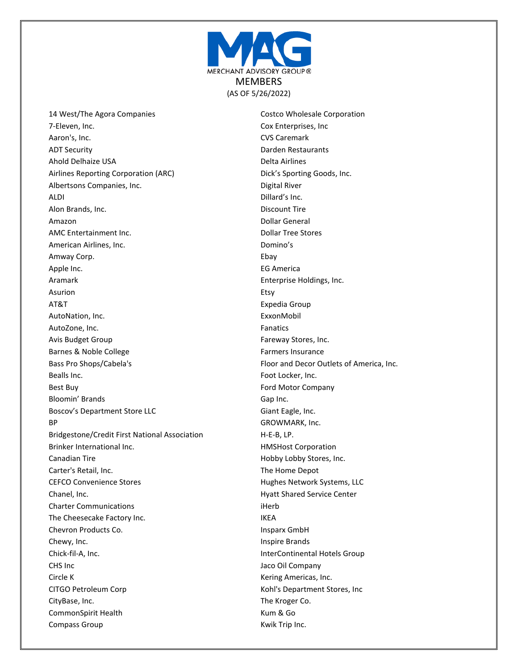

14 West/The Agora Companies 7-Eleven, Inc. Aaron's, Inc. ADT Security Ahold Delhaize USA Airlines Reporting Corporation (ARC) Albertsons Companies, Inc. ALDI Alon Brands, Inc. Amazon AMC Entertainment Inc. American Airlines, Inc. Amway Corp. Apple Inc. Aramark Asurion AT&T AutoNation, Inc. AutoZone, Inc. Avis Budget Group Barnes & Noble College Bass Pro Shops/Cabela's Bealls Inc. Best Buy Bloomin' Brands Boscov's Department Store LLC BP Bridgestone/Credit First National Association Brinker International Inc. Canadian Tire Carter's Retail, Inc. CEFCO Convenience Stores Chanel, Inc. Charter Communications The Cheesecake Factory Inc. Chevron Products Co. Chewy, Inc. Chick-fil-A, Inc. CHS Inc Circle K CITGO Petroleum Corp CityBase, Inc. CommonSpirit Health Compass Group

Costco Wholesale Corporation Cox Enterprises, Inc CVS Caremark Darden Restaurants Delta Airlines Dick's Sporting Goods, Inc. Digital River Dillard's Inc. Discount Tire Dollar General Dollar Tree Stores Domino's Ebay EG America Enterprise Holdings, Inc. Etsy Expedia Group ExxonMobil Fanatics Fareway Stores, Inc. Farmers Insurance Floor and Decor Outlets of America, Inc. Foot Locker, Inc. Ford Motor Company Gap Inc. Giant Eagle, Inc. GROWMARK, Inc. H-E-B, LP. HMSHost Corporation Hobby Lobby Stores, Inc. The Home Depot Hughes Network Systems, LLC Hyatt Shared Service Center iHerb IKEA Insparx GmbH Inspire Brands InterContinental Hotels Group Jaco Oil Company Kering Americas, Inc. Kohl's Department Stores, Inc The Kroger Co. Kum & Go Kwik Trip Inc.